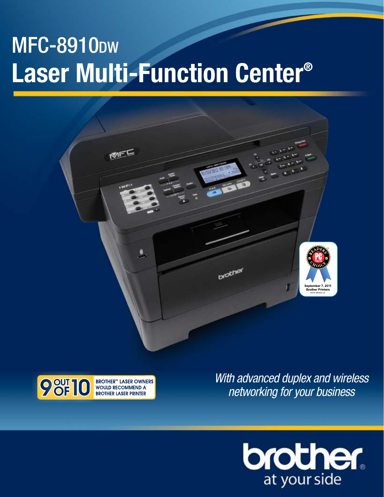# **MFC-8910DW Laser Multi-Function Center®**





*With advanced duplex and wireless networking for your business*